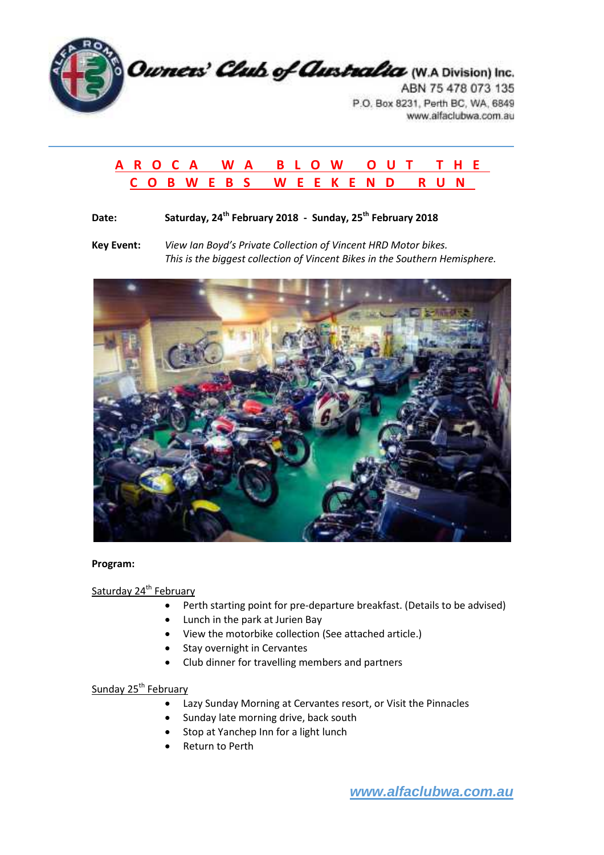

# **A R O C A W A B L O W O U T T H E C O B W E B S W E E K E N D R U N**

# **Date: Saturday, 24th February 2018 - Sunday, 25th February 2018**

**Key Event:** *View Ian Boyd's Private Collection of Vincent HRD Motor bikes. This is the biggest collection of Vincent Bikes in the Southern Hemisphere.*



### **Program:**

## Saturday 24<sup>th</sup> February

- Perth starting point for pre-departure breakfast. (Details to be advised)
- Lunch in the park at Jurien Bay
- View the motorbike collection (See attached article.)
- Stay overnight in Cervantes
- Club dinner for travelling members and partners

## Sunday 25<sup>th</sup> February

- Lazy Sunday Morning at Cervantes resort, or Visit the Pinnacles
- Sunday late morning drive, back south
- Stop at Yanchep Inn for a light lunch
- Return to Perth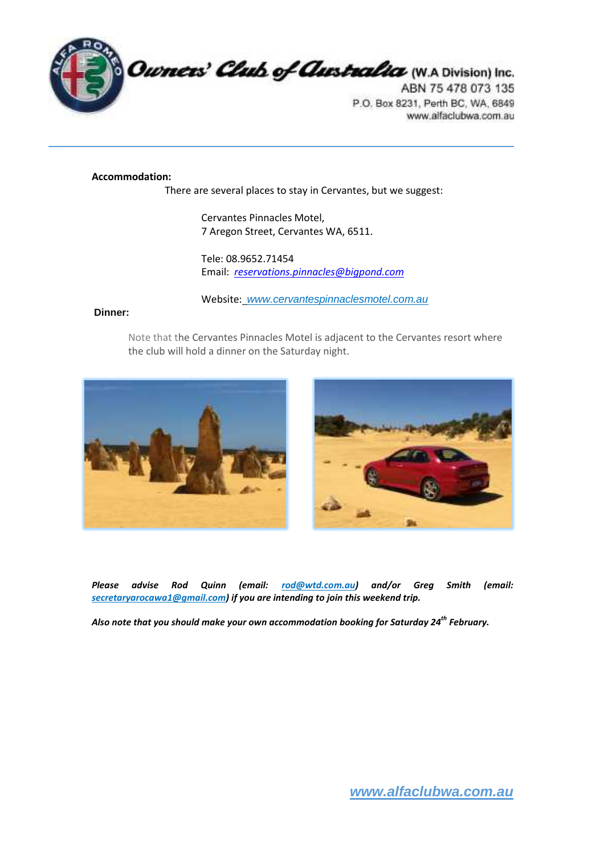

#### **Accommodation:**

There are several places to stay in Cervantes, but we suggest:

Cervantes Pinnacles Motel, 7 Aregon Street, Cervantes WA, 6511.

Tele: 08.9652.71454 Email: *reservations.pinnacles@bigpond.com*

Website:www.cervantespinnaclesmotel.com.au

#### **Dinner:**

Note that the Cervantes Pinnacles Motel is adjacent to the Cervantes resort where the club will hold a dinner on the Saturday night.





*Please advise Rod Quinn (email: rod@wtd.com.au) and/or Greg Smith (email: secretaryarocawa1@gmail.com) if you are intending to join this weekend trip.* 

*Also note that you should make your own accommodation booking for Saturday 24th February.*